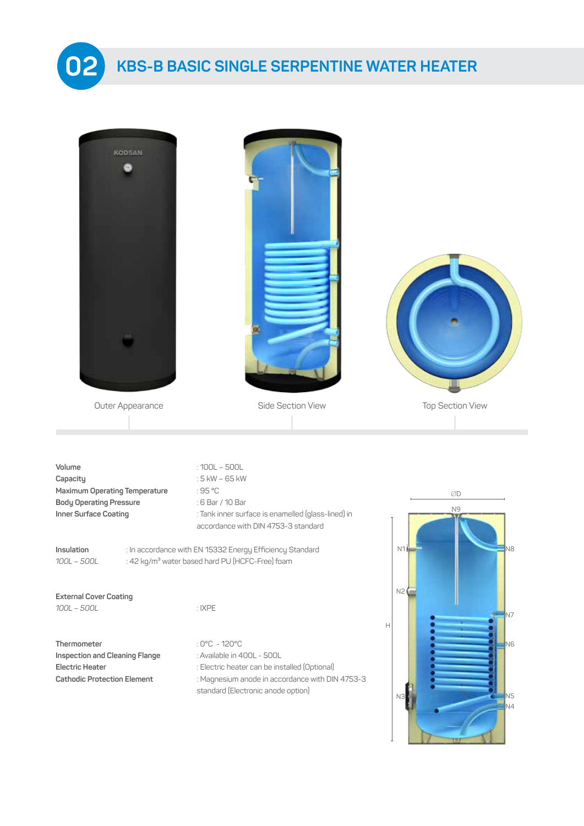

## **KBS SINGLE SERPENTINE WATER HEATER 02 KBS-B BASIC SINGLE SERPENTINE WATER HEATER**

| <b>KODSAN</b>                                                                                                  |                                                                                                                                                                                                            |                                          |
|----------------------------------------------------------------------------------------------------------------|------------------------------------------------------------------------------------------------------------------------------------------------------------------------------------------------------------|------------------------------------------|
| Outer Appearance                                                                                               | Side Section View                                                                                                                                                                                          | <b>Top Section View</b>                  |
| Volume<br>Capacity<br>Maximum Operating Temperature<br><b>Body Operating Pressure</b><br>Inner Surface Coating | $:100L - 500L$<br>: 5 kW - 65 kW<br>:95 °C<br>: 6 Bar / 10 Bar<br>: Tank inner surface is enamelled (glass-lined) in<br>accordance with DIN 4753-3 standard                                                | ØD<br>N9                                 |
| Insulation<br>100L - 500L                                                                                      | : In accordance with EN 15332 Energy Efficiency Standard<br>: 42 kg/m <sup>3</sup> water based hard PU (HCFC-Free) foam                                                                                    | N <sub>8</sub><br>N1                     |
| <b>External Cover Coating</b><br>100L - 500L                                                                   | :IXPE                                                                                                                                                                                                      | N2(<br>N7<br>Н                           |
| Thermometer<br><b>Inspection and Cleaning Flange</b><br>Electric Heater<br><b>Cathodic Protection Element</b>  | : $0^{\circ}$ C - 120 $^{\circ}$ C<br>: Available in 400L - 500L<br>: Electric heater can be installed (Optional)<br>: Magnesium anode in accordance with DIN 4753-3<br>standard (Electronic anode option) | N6<br>N <sub>5</sub><br>N3<br>$\sqrt{4}$ |

 $\frac{1}{\sqrt{2}}$